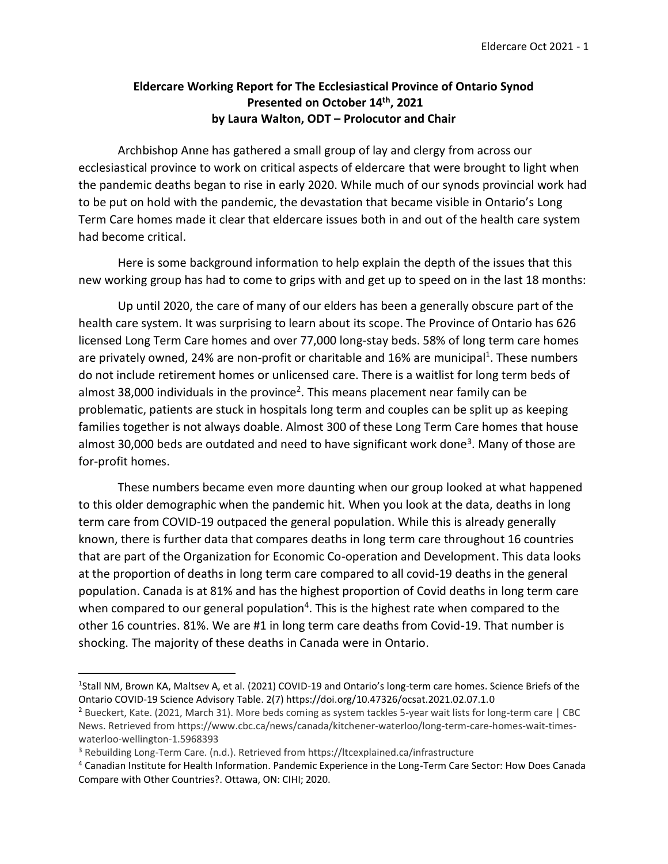## **Eldercare Working Report for The Ecclesiastical Province of Ontario Synod Presented on October 14th, 2021 by Laura Walton, ODT – Prolocutor and Chair**

Archbishop Anne has gathered a small group of lay and clergy from across our ecclesiastical province to work on critical aspects of eldercare that were brought to light when the pandemic deaths began to rise in early 2020. While much of our synods provincial work had to be put on hold with the pandemic, the devastation that became visible in Ontario's Long Term Care homes made it clear that eldercare issues both in and out of the health care system had become critical.

Here is some background information to help explain the depth of the issues that this new working group has had to come to grips with and get up to speed on in the last 18 months:

Up until 2020, the care of many of our elders has been a generally obscure part of the health care system. It was surprising to learn about its scope. The Province of Ontario has 626 licensed Long Term Care homes and over 77,000 long-stay beds. 58% of long term care homes are privately owned, 24% are non-profit or charitable and 16% are municipal<sup>1</sup>. These numbers do not include retirement homes or unlicensed care. There is a waitlist for long term beds of almost 38,000 individuals in the province<sup>2</sup>. This means placement near family can be problematic, patients are stuck in hospitals long term and couples can be split up as keeping families together is not always doable. Almost 300 of these Long Term Care homes that house almost 30,000 beds are outdated and need to have significant work done<sup>3</sup>. Many of those are for-profit homes.

These numbers became even more daunting when our group looked at what happened to this older demographic when the pandemic hit. When you look at the data, deaths in long term care from COVID-19 outpaced the general population. While this is already generally known, there is further data that compares deaths in long term care throughout 16 countries that are part of the Organization for Economic Co-operation and Development. This data looks at the proportion of deaths in long term care compared to all covid-19 deaths in the general population. Canada is at 81% and has the highest proportion of Covid deaths in long term care when compared to our general population<sup>4</sup>. This is the highest rate when compared to the other 16 countries. 81%. We are #1 in long term care deaths from Covid-19. That number is shocking. The majority of these deaths in Canada were in Ontario.

<sup>&</sup>lt;sup>1</sup>Stall NM, Brown KA, Maltsev A, et al. (2021) COVID-19 and Ontario's long-term care homes. Science Briefs of the Ontario COVID-19 Science Advisory Table. 2(7) https://doi.org/10.47326/ocsat.2021.02.07.1.0

<sup>2</sup> Bueckert, Kate. (2021, March 31). More beds coming as system tackles 5-year wait lists for long-term care | CBC News. Retrieved from https://www.cbc.ca/news/canada/kitchener-waterloo/long-term-care-homes-wait-timeswaterloo-wellington-1.5968393

<sup>3</sup> Rebuilding Long-Term Care. (n.d.). Retrieved from https://ltcexplained.ca/infrastructure

<sup>4</sup> Canadian Institute for Health Information. Pandemic Experience in the Long-Term Care Sector: How Does Canada Compare with Other Countries?. Ottawa, ON: CIHI; 2020.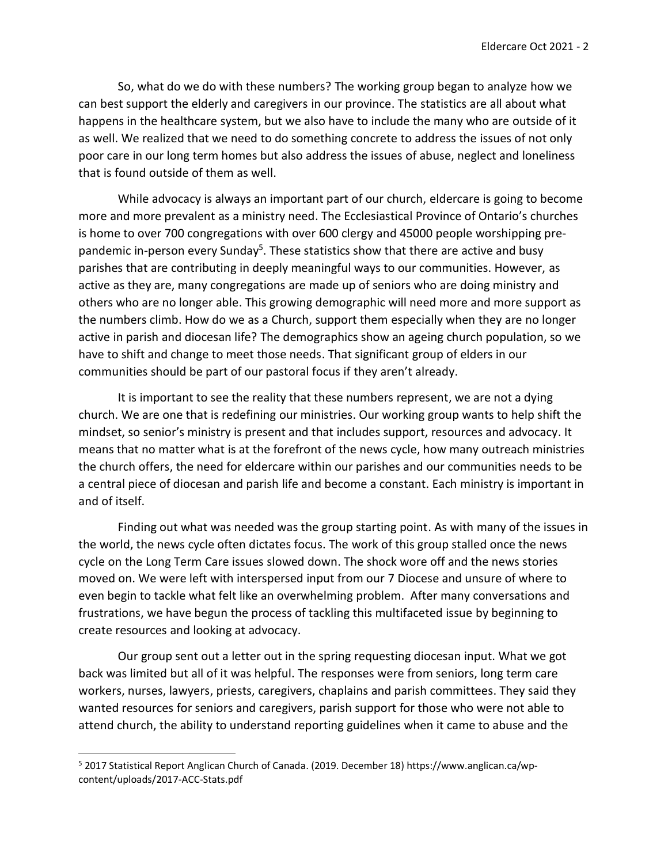So, what do we do with these numbers? The working group began to analyze how we can best support the elderly and caregivers in our province. The statistics are all about what happens in the healthcare system, but we also have to include the many who are outside of it as well. We realized that we need to do something concrete to address the issues of not only poor care in our long term homes but also address the issues of abuse, neglect and loneliness that is found outside of them as well.

While advocacy is always an important part of our church, eldercare is going to become more and more prevalent as a ministry need. The Ecclesiastical Province of Ontario's churches is home to over 700 congregations with over 600 clergy and 45000 people worshipping prepandemic in-person every Sunday<sup>5</sup>. These statistics show that there are active and busy parishes that are contributing in deeply meaningful ways to our communities. However, as active as they are, many congregations are made up of seniors who are doing ministry and others who are no longer able. This growing demographic will need more and more support as the numbers climb. How do we as a Church, support them especially when they are no longer active in parish and diocesan life? The demographics show an ageing church population, so we have to shift and change to meet those needs. That significant group of elders in our communities should be part of our pastoral focus if they aren't already.

It is important to see the reality that these numbers represent, we are not a dying church. We are one that is redefining our ministries. Our working group wants to help shift the mindset, so senior's ministry is present and that includes support, resources and advocacy. It means that no matter what is at the forefront of the news cycle, how many outreach ministries the church offers, the need for eldercare within our parishes and our communities needs to be a central piece of diocesan and parish life and become a constant. Each ministry is important in and of itself.

Finding out what was needed was the group starting point. As with many of the issues in the world, the news cycle often dictates focus. The work of this group stalled once the news cycle on the Long Term Care issues slowed down. The shock wore off and the news stories moved on. We were left with interspersed input from our 7 Diocese and unsure of where to even begin to tackle what felt like an overwhelming problem. After many conversations and frustrations, we have begun the process of tackling this multifaceted issue by beginning to create resources and looking at advocacy.

Our group sent out a letter out in the spring requesting diocesan input. What we got back was limited but all of it was helpful. The responses were from seniors, long term care workers, nurses, lawyers, priests, caregivers, chaplains and parish committees. They said they wanted resources for seniors and caregivers, parish support for those who were not able to attend church, the ability to understand reporting guidelines when it came to abuse and the

<sup>5</sup> 2017 Statistical Report Anglican Church of Canada. (2019. December 18) https://www.anglican.ca/wpcontent/uploads/2017-ACC-Stats.pdf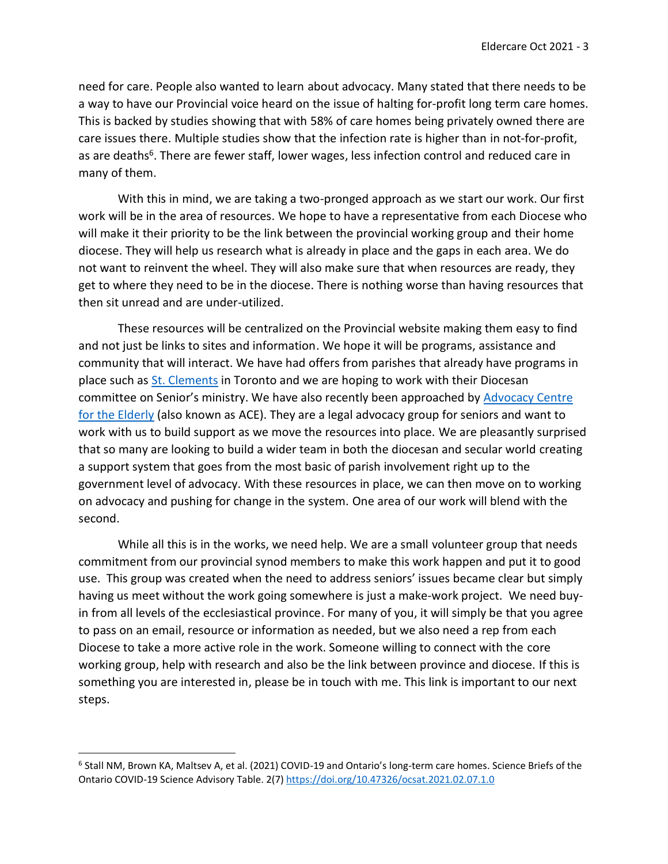need for care. People also wanted to learn about advocacy. Many stated that there needs to be a way to have our Provincial voice heard on the issue of halting for-profit long term care homes. This is backed by studies showing that with 58% of care homes being privately owned there are care issues there. Multiple studies show that the infection rate is higher than in not-for-profit, as are deaths<sup>6</sup>. There are fewer staff, lower wages, less infection control and reduced care in many of them.

With this in mind, we are taking a two-pronged approach as we start our work. Our first work will be in the area of resources. We hope to have a representative from each Diocese who will make it their priority to be the link between the provincial working group and their home diocese. They will help us research what is already in place and the gaps in each area. We do not want to reinvent the wheel. They will also make sure that when resources are ready, they get to where they need to be in the diocese. There is nothing worse than having resources that then sit unread and are under-utilized.

These resources will be centralized on the Provincial website making them easy to find and not just be links to sites and information. We hope it will be programs, assistance and community that will interact. We have had offers from parishes that already have programs in place such as [St. Clements](https://stclements-church.org/seniors/) in Toronto and we are hoping to work with their Diocesan committee on Senior's ministry. We have also recently been approached by [Advocacy Centre](http://www.advocacycentreelderly.org/)  [for the Elderly](http://www.advocacycentreelderly.org/) (also known as ACE). They are a legal advocacy group for seniors and want to work with us to build support as we move the resources into place. We are pleasantly surprised that so many are looking to build a wider team in both the diocesan and secular world creating a support system that goes from the most basic of parish involvement right up to the government level of advocacy. With these resources in place, we can then move on to working on advocacy and pushing for change in the system. One area of our work will blend with the second.

While all this is in the works, we need help. We are a small volunteer group that needs commitment from our provincial synod members to make this work happen and put it to good use. This group was created when the need to address seniors' issues became clear but simply having us meet without the work going somewhere is just a make-work project. We need buyin from all levels of the ecclesiastical province. For many of you, it will simply be that you agree to pass on an email, resource or information as needed, but we also need a rep from each Diocese to take a more active role in the work. Someone willing to connect with the core working group, help with research and also be the link between province and diocese. If this is something you are interested in, please be in touch with me. This link is important to our next steps.

<sup>6</sup> Stall NM, Brown KA, Maltsev A, et al. (2021) COVID-19 and Ontario's long-term care homes. Science Briefs of the Ontario COVID-19 Science Advisory Table. 2(7[\) https://doi.org/10.47326/ocsat.2021.02.07.1.0](https://doi.org/10.47326/ocsat.2021.02.07.1.0)